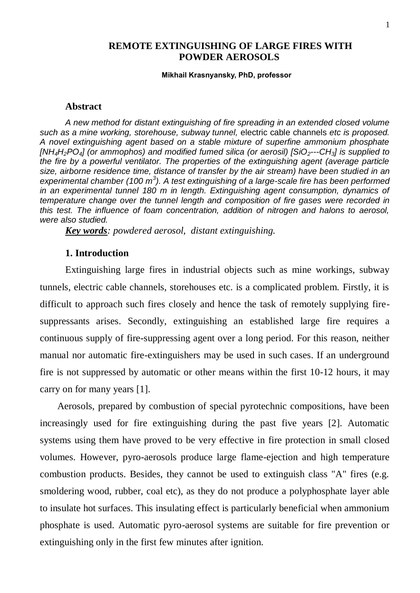# **REMOTE EXTINGUISHING OF LARGE FIRES WITH POWDER AEROSOLS**

# **Mikhail Krasnyansky, Independent Scientist, PhD (USA) Mikhail Krasnyansky, PhD, professor**

## **Abstract**

*A new method for distant extinguishing of fire spreading in an extended closed volume such as a mine working, storehouse, subway tunnel,* electric cable channels *etc is proposed. A novel extinguishing agent based on a stable mixture of superfine ammonium phosphate [NH4H2PO4] (or ammophos) and modified fumed silica (or aerosil) [SiO2---CH3] is supplied to the fire by a powerful ventilator. The properties of the extinguishing agent (average particle size, airborne residence time, distance of transfer by the air stream) have been studied in an experimental chamber (100 m<sup>3</sup> ). A test extinguishing of a large-scale fire has been performed in an experimental tunnel 180 m in length. Extinguishing agent consumption, dynamics of temperature change over the tunnel length and composition of fire gases were recorded in this test. The influence of foam concentration, addition of nitrogen and halons to aerosol, were also studied.* 

*Key words: powdered aerosol, distant extinguishing.*

## **1. Introduction**

Extinguishing large fires in industrial objects such as mine workings, subway tunnels, electric cable channels, storehouses etc. is a complicated problem. Firstly, it is difficult to approach such fires closely and hence the task of remotely supplying firesuppressants arises. Secondly, extinguishing an established large fire requires a continuous supply of fire-suppressing agent over a long period. For this reason, neither manual nor automatic fire-extinguishers may be used in such cases. If an underground fire is not suppressed by automatic or other means within the first 10-12 hours, it may carry on for many years [1].

 Aerosols, prepared by combustion of special pyrotechnic compositions, have been increasingly used for fire extinguishing during the past five years [2]. Automatic systems using them have proved to be very effective in fire protection in small closed volumes. However, pyro-aerosols produce large flame-ejection and high temperature combustion products. Besides, they cannot be used to extinguish class "A" fires (e.g. smoldering wood, rubber, coal etc), as they do not produce a polyphosphate layer able to insulate hot surfaces. This insulating effect is particularly beneficial when ammonium phosphate is used. Automatic pyro-aerosol systems are suitable for fire prevention or extinguishing only in the first few minutes after ignition.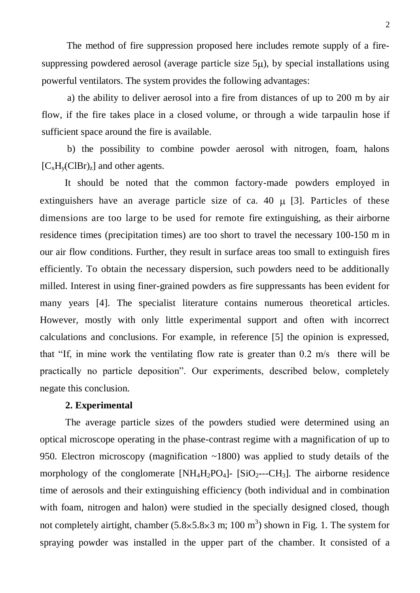The method of fire suppression proposed here includes remote supply of a firesuppressing powdered aerosol (average particle size  $5\mu$ ), by special installations using powerful ventilators. The system provides the following advantages:

a) the ability to deliver aerosol into a fire from distances of up to 200 m by air flow, if the fire takes place in a closed volume, or through a wide tarpaulin hose if sufficient space around the fire is available.

b) the possibility to combine powder aerosol with nitrogen, foam, halons  $[C_xH_y(ClBr)_z]$  and other agents.

 It should be noted that the common factory-made powders employed in extinguishers have an average particle size of ca. 40  $\mu$  [3]. Particles of these dimensions are too large to be used for remote fire extinguishing, as their airborne residence times (precipitation times) are too short to travel the necessary 100-150 m in our air flow conditions. Further, they result in surface areas too small to extinguish fires efficiently. To obtain the necessary dispersion, such powders need to be additionally milled. Interest in using finer-grained powders as fire suppressants has been evident for many years [4]. The specialist literature contains numerous theoretical articles. However, mostly with only little experimental support and often with incorrect calculations and conclusions. For example, in reference [5] the opinion is expressed, that "If, in mine work the ventilating flow rate is greater than 0.2 m/s there will be practically no particle deposition". Our experiments, described below, completely negate this conclusion.

## **2. Experimental**

The average particle sizes of the powders studied were determined using an optical microscope operating in the phase-contrast regime with a magnification of up to 950. Electron microscopy (magnification ~1800) was applied to study details of the morphology of the conglomerate  $[NH_4H_2PO_4]$ -  $[SiO_2--CH_3]$ . The airborne residence time of aerosols and their extinguishing efficiency (both individual and in combination with foam, nitrogen and halon) were studied in the specially designed closed, though not completely airtight, chamber  $(5.8 \times 5.8 \times 3 \text{ m}; 100 \text{ m}^3)$  shown in Fig. 1. The system for spraying powder was installed in the upper part of the chamber. It consisted of a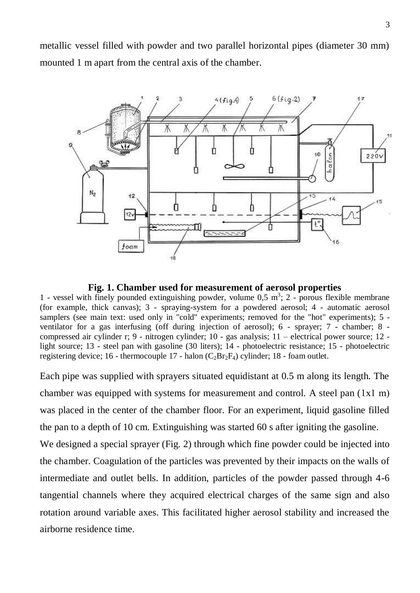metallic vessel filled with powder and two parallel horizontal pipes (diameter 30 mm) mounted 1 m apart from the central axis of the chamber.



**Fig. 1. Chamber used for measurement of aerosol properties** 

1 - vessel with finely pounded extinguishing powder, volume  $0.5 \text{ m}^3$ ; 2 - porous flexible membrane (for example, thick canvas); 3 - spraying-system for a powdered aerosol; 4 - automatic aerosol samplers (see main text: used only in "cold" experiments; removed for the "hot" experiments); 5 ventilator for a gas interfusing (off during injection of aerosol); 6 - sprayer; 7 - chamber; 8 compressed air cylinder r; 9 - nitrogen cylinder; 10 - gas analysis; 11 – electrical power source; 12 light source; 13 - steel pan with gasoline (30 liters); 14 - photoelectric resistance; 15 - photoelectric registering device; 16 - thermocouple 17 - halon  $(C_2Br_2F_4)$  cylinder; 18 - foam outlet.

Each pipe was supplied with sprayers situated equidistant at 0.5 m along its length. The chamber was equipped with systems for measurement and control. A steel pan (1x1 m) was placed in the center of the chamber floor. For an experiment, liquid gasoline filled the pan to a depth of 10 cm. Extinguishing was started 60 s after igniting the gasoline.

We designed a special sprayer (Fig. 2) through which fine powder could be injected into the chamber. Coagulation of the particles was prevented by their impacts on the walls of intermediate and outlet bells. In addition, particles of the powder passed through 4-6 tangential channels where they acquired electrical charges of the same sign and also rotation around variable axes. This facilitated higher aerosol stability and increased the airborne residence time.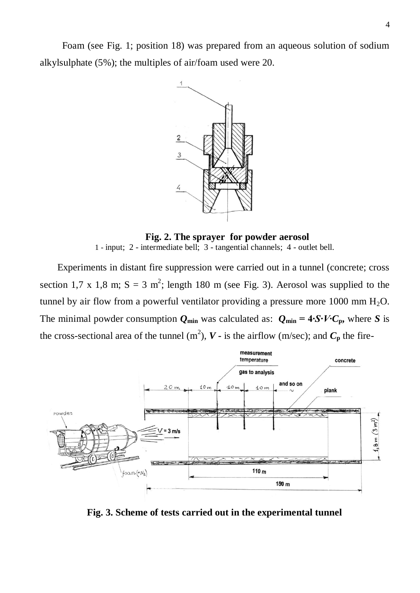Foam (see Fig. 1; position 18) was prepared from an aqueous solution of sodium alkylsulphate (5%); the multiples of air/foam used were 20.



**Fig. 2. The sprayer for powder aerosol** 1 - input; 2 - intermediate bell; 3 - tangential channels; 4 - outlet bell.

 Experiments in distant fire suppression were carried out in a tunnel (concrete; cross section 1,7 x 1,8 m;  $S = 3$  m<sup>2</sup>; length 180 m (see Fig. 3). Aerosol was supplied to the tunnel by air flow from a powerful ventilator providing a pressure more 1000 mm  $H_2O$ . The minimal powder consumption  $Q_{min}$  was calculated as:  $Q_{min} = 4 \cdot S \cdot V \cdot C_p$ , where *S* is the cross-sectional area of the tunnel  $(m^2)$ ,  $V$  **-** is the airflow (m/sec); and  $C_p$  the fire-



**Fig. 3. Scheme of tests carried out in the experimental tunnel**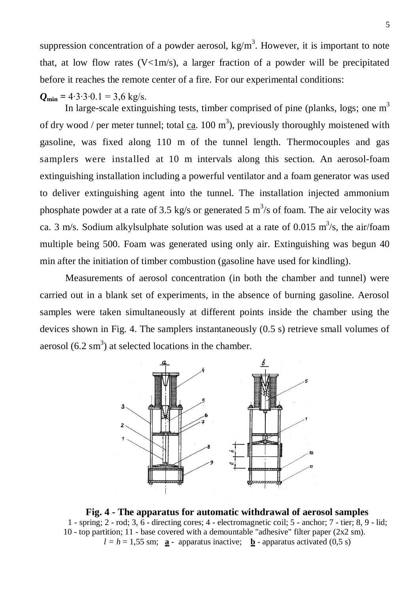suppression concentration of a powder aerosol,  $kg/m<sup>3</sup>$ . However, it is important to note that, at low flow rates  $(V<1m/s)$ , a larger fraction of a powder will be precipitated before it reaches the remote center of a fire. For our experimental conditions:

 $Q_{\text{min}} = 4.3.3 \cdot 0.1 = 3.6 \text{ kg/s}.$ 

In large-scale extinguishing tests, timber comprised of pine (planks, logs; one  $m<sup>3</sup>$ of dry wood / per meter tunnel; total  $ca$ . 100 m<sup>3</sup>), previously thoroughly moistened with gasoline, was fixed along 110 m of the tunnel length. Thermocouples and gas samplers were installed at 10 m intervals along this section. An aerosol-foam extinguishing installation including a powerful ventilator and a foam generator was used to deliver extinguishing agent into the tunnel. The installation injected ammonium phosphate powder at a rate of 3.5 kg/s or generated 5  $\text{m}^3$ /s of foam. The air velocity was ca. 3 m/s. Sodium alkylsulphate solution was used at a rate of 0.015 m<sup>3</sup>/s, the air/foam multiple being 500. Foam was generated using only air. Extinguishing was begun 40 min after the initiation of timber combustion (gasoline have used for kindling).

Measurements of aerosol concentration (in both the chamber and tunnel) were carried out in a blank set of experiments, in the absence of burning gasoline. Aerosol samples were taken simultaneously at different points inside the chamber using the devices shown in Fig. 4. The samplers instantaneously (0.5 s) retrieve small volumes of aerosol  $(6.2 \text{ sm}^3)$  at selected locations in the chamber.



**Fig. 4 - The apparatus for automatic withdrawal of aerosol samples** 1 - spring; 2 - rod; 3, 6 - directing cores; 4 - electromagnetic coil; 5 - anchor; 7 - tier; 8, 9 - lid; 10 - top partition; 11 - base covered with a demountable "adhesive" filter paper (2x2 sm).  $l = h = 1.55$  sm; **a** - apparatus inactive; **b** - apparatus activated (0,5 s)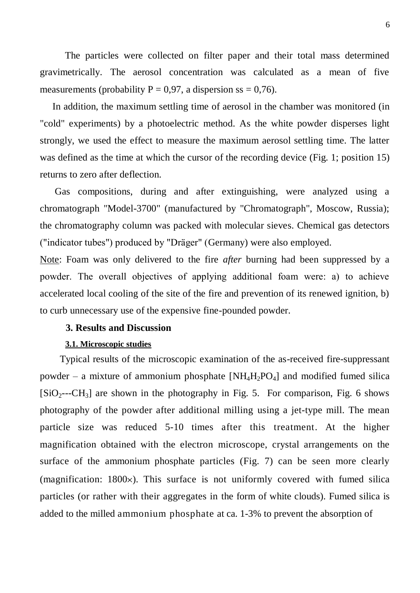The particles were collected on filter paper and their total mass determined gravimetrically. The aerosol concentration was calculated as a mean of five measurements (probability  $P = 0.97$ , a dispersion ss = 0.76).

 In addition, the maximum settling time of aerosol in the chamber was monitored (in "cold" experiments) by a photoelectric method. As the white powder disperses light strongly, we used the effect to measure the maximum aerosol settling time. The latter was defined as the time at which the cursor of the recording device (Fig. 1; position 15) returns to zero after deflection.

 Gas compositions, during and after extinguishing, were analyzed using a chromatograph "Model-3700" (manufactured by "Chromatograph", Moscow, Russia); the chromatography column was packed with molecular sieves. Chemical gas detectors ("indicator tubes") produced by "Dräger" (Germany) were also employed.

Note: Foam was only delivered to the fire *after* burning had been suppressed by a powder. The overall objectives of applying additional foam were: а) to achieve accelerated local cooling of the site of the fire and prevention of its renewed ignition, b) to curb unnecessary use of the expensive fine-pounded powder.

# **3. Results and Discussion**

#### **3.1. Microscopic studies**

 Typical results of the microscopic examination of the as-received fire-suppressant powder – a mixture of ammonium phosphate  $[NH_4H_2PO_4]$  and modified fumed silica  $[SiO<sub>2</sub>--CH<sub>3</sub>]$  are shown in the photography in Fig. 5. For comparison, Fig. 6 shows photography of the powder after additional milling using a jet-type mill. The mean particle size was reduced 5-10 times after this treatment. At the higher magnification obtained with the electron microscope, crystal arrangements on the surface of the ammonium phosphate particles (Fig. 7) can be seen more clearly (magnification:  $1800 \times$ ). This surface is not uniformly covered with fumed silica particles (or rather with their aggregates in the form of white clouds). Fumed silica is added to the milled ammonium phosphate at ca. 1-3% to prevent the absorption of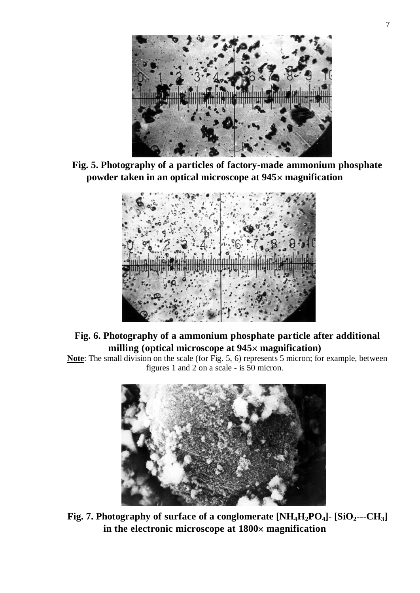

**Fig. 5. Photography of a particles of factory-made ammonium phosphate powder taken in an optical microscope at 945 magnification**



# **Fig. 6. Photography of a ammonium phosphate particle after additional milling (optical microscope at 945 magnification)**

**Note**: The small division on the scale (for Fig. 5, 6) represents 5 micron; for example, between figures 1 and 2 on a scale - is 50 micron.



**Fig. 7. Photography of surface of a conglomerate [NH4H2PO4]- [SiO2---CH3] in the electronic microscope at 1800 magnification**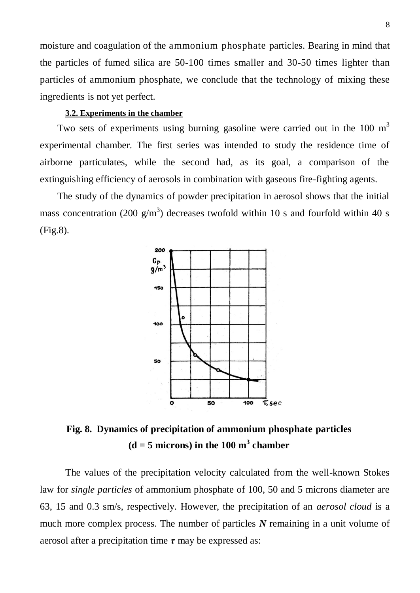moisture and coagulation of the ammonium phosphate particles. Bearing in mind that the particles of fumed silica are 50-100 times smaller and 30-50 times lighter than particles of ammonium phosphate, we conclude that the technology of mixing these ingredients is not yet perfect.

## **3.2. Experiments in the chamber**

Two sets of experiments using burning gasoline were carried out in the 100  $m<sup>3</sup>$ experimental chamber. The first series was intended to study the residence time of airborne particulates, while the second had, as its goal, a comparison of the extinguishing efficiency of aerosols in combination with gaseous fire-fighting agents.

 The study of the dynamics of powder precipitation in aerosol shows that the initial mass concentration (200  $g/m<sup>3</sup>$ ) decreases twofold within 10 s and fourfold within 40 s (Fig.8).



**Fig. 8. Dynamics of precipitation of ammonium phosphate particles**   $(d = 5$  microns) in the 100 m<sup>3</sup> chamber

The values of the precipitation velocity calculated from the well-known Stokes law for *single particles* of ammonium phosphate of 100, 50 and 5 microns diameter are 63, 15 and 0.3 sm/s, respectively. However, the precipitation of an *aerosol cloud* is a much more complex process. The number of particles *N* remaining in a unit volume of aerosol after a precipitation time *τ* may be expressed as: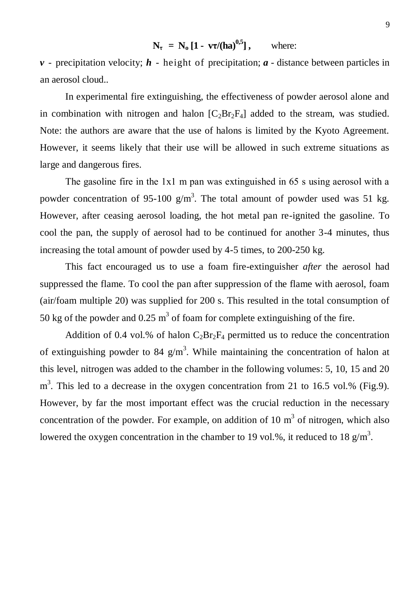$N_{\tau} = N_{o} [1 - v \tau / (ha)^{0.5}],$  where:

 $\nu$  - precipitation velocity;  $\boldsymbol{h}$  - height of precipitation;  $\boldsymbol{a}$  - distance between particles in an aerosol cloud..

In experimental fire extinguishing, the effectiveness of powder aerosol alone and in combination with nitrogen and halon  $[C<sub>2</sub>Br<sub>2</sub>F<sub>4</sub>]$  added to the stream, was studied. Note: the authors are aware that the use of halons is limited by the Kyoto Agreement. However, it seems likely that their use will be allowed in such extreme situations as large and dangerous fires.

The gasoline fire in the 1x1 m pan was extinguished in 65 s using aerosol with a powder concentration of 95-100  $g/m<sup>3</sup>$ . The total amount of powder used was 51 kg. However, after ceasing aerosol loading, the hot metal pan re-ignited the gasoline. To cool the pan, the supply of aerosol had to be continued for another 3-4 minutes, thus increasing the total amount of powder used by 4-5 times, to 200-250 kg.

This fact encouraged us to use a foam fire-extinguisher *after* the aerosol had suppressed the flame. To cool the pan after suppression of the flame with aerosol, foam (air/foam multiple 20) was supplied for 200 s. This resulted in the total consumption of 50 kg of the powder and  $0.25 \text{ m}^3$  of foam for complete extinguishing of the fire.

Addition of 0.4 vol.% of halon  $C_2Br_2F_4$  permitted us to reduce the concentration of extinguishing powder to 84  $g/m<sup>3</sup>$ . While maintaining the concentration of halon at this level, nitrogen was added to the chamber in the following volumes: 5, 10, 15 and 20  $m<sup>3</sup>$ . This led to a decrease in the oxygen concentration from 21 to 16.5 vol.% (Fig.9). However, by far the most important effect was the crucial reduction in the necessary concentration of the powder. For example, on addition of 10  $m<sup>3</sup>$  of nitrogen, which also lowered the oxygen concentration in the chamber to 19 vol.%, it reduced to 18  $g/m<sup>3</sup>$ .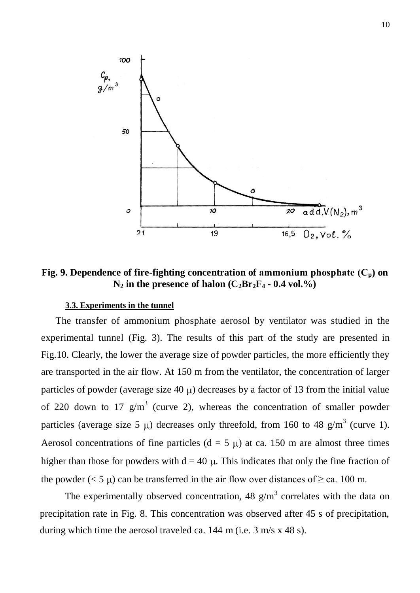

**Fig. 9. Dependence of fire-fighting concentration of ammonium phosphate**  $(C_p)$  **on**  $N_2$  in the presence of halon  $(C_2Br_2F_4 - 0.4$  vol.%)

## **3.3. Experiments in the tunnel**

 The transfer of ammonium phosphate aerosol by ventilator was studied in the experimental tunnel (Fig. 3). The results of this part of the study are presented in Fig.10. Clearly, the lower the average size of powder particles, the more efficiently they are transported in the air flow. At 150 m from the ventilator, the concentration of larger particles of powder (average size 40  $\mu$ ) decreases by a factor of 13 from the initial value of 220 down to 17  $g/m<sup>3</sup>$  (curve 2), whereas the concentration of smaller powder particles (average size 5  $\mu$ ) decreases only threefold, from 160 to 48 g/m<sup>3</sup> (curve 1). Aerosol concentrations of fine particles ( $d = 5 \mu$ ) at ca. 150 m are almost three times higher than those for powders with  $d = 40 \mu$ . This indicates that only the fine fraction of the powder ( $< 5 \mu$ ) can be transferred in the air flow over distances of  $\geq$  ca. 100 m.

The experimentally observed concentration, 48  $g/m<sup>3</sup>$  correlates with the data on precipitation rate in Fig. 8. This concentration was observed after 45 s of precipitation, during which time the aerosol traveled ca. 144 m (i.e. 3 m/s x 48 s).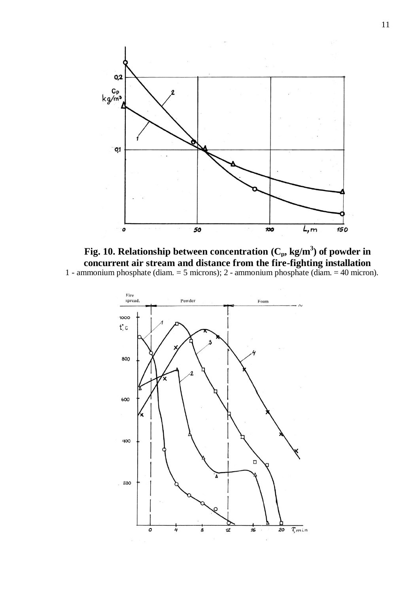



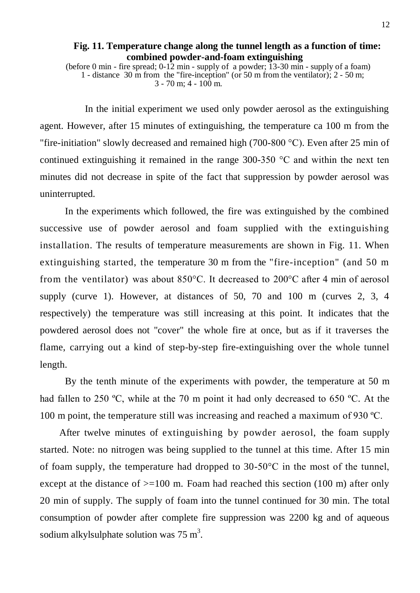(before 0 min - fire spread; 0-12 min - supply of a powder; 13-30 min - supply of a foam) 1 - distance 30 m from the "fire-inception" (or 50 m from the ventilator); 2 - 50 m;  $3 - 70$  m;  $4 - 100$  m.

 In the initial experiment we used only powder aerosol as the extinguishing agent. However, after 15 minutes of extinguishing, the temperature ca 100 m from the "fire-initiation" slowly decreased and remained high (700-800 °C). Even after 25 min of continued extinguishing it remained in the range 300-350 °C and within the next ten minutes did not decrease in spite of the fact that suppression by powder aerosol was uninterrupted.

In the experiments which followed, the fire was extinguished by the combined successive use of powder aerosol and foam supplied with the extinguishing installation. The results of temperature measurements are shown in Fig. 11. When extinguishing started, the temperature 30 m from the "fire-inception" (and 50 m from the ventilator) was about 850°C. It decreased to 200°C after 4 min of aerosol supply (curve 1). However, at distances of 50, 70 and 100 m (curves 2, 3, 4 respectively) the temperature was still increasing at this point. It indicates that the powdered aerosol does not "cover" the whole fire at once, but as if it traverses the flame, carrying out a kind of step-by-step fire-extinguishing over the whole tunnel length.

By the tenth minute of the experiments with powder, the temperature at 50 m had fallen to 250 °C, while at the 70 m point it had only decreased to 650 °C. At the 100 m point, the temperature still was increasing and reached a maximum of 930 ºC.

 After twelve minutes of extinguishing by powder aerosol, the foam supply started. Note: no nitrogen was being supplied to the tunnel at this time. After 15 min of foam supply, the temperature had dropped to 30-50°C in the most of the tunnel, except at the distance of  $>=100$  m. Foam had reached this section (100 m) after only 20 min of supply. The supply of foam into the tunnel continued for 30 min. The total consumption of powder after complete fire suppression was 2200 kg and of aqueous sodium alkylsulphate solution was  $75 \text{ m}^3$ .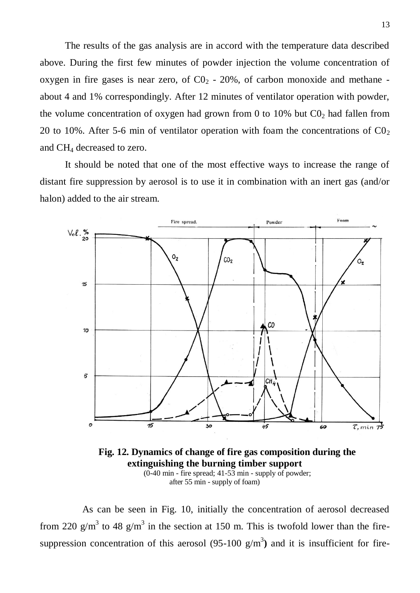The results of the gas analysis are in accord with the temperature data described above. During the first few minutes of powder injection the volume concentration of oxygen in fire gases is near zero, of  $CO<sub>2</sub>$  - 20%, of carbon monoxide and methane about 4 and 1% correspondingly. After 12 minutes of ventilator operation with powder, the volume concentration of oxygen had grown from 0 to 10% but  $C_0$  had fallen from 20 to 10%. After 5-6 min of ventilator operation with foam the concentrations of  $C_2$ and CH<sup>4</sup> decreased to zero.

It should be noted that one of the most effective ways to increase the range of distant fire suppression by aerosol is to use it in combination with an inert gas (and/or halon) added to the air stream.



**Fig. 12. Dynamics of change of fire gas composition during the extinguishing the burning timber support**  (0-40 min - fire spread; 41-53 min - supply of powder; after 55 min - supply of foam)

 As can be seen in Fig. 10, initially the concentration of aerosol decreased from 220  $g/m^3$  to 48  $g/m^3$  in the section at 150 m. This is twofold lower than the firesuppression concentration of this aerosol  $(95-100 \text{ g/m}^3)$  and it is insufficient for fire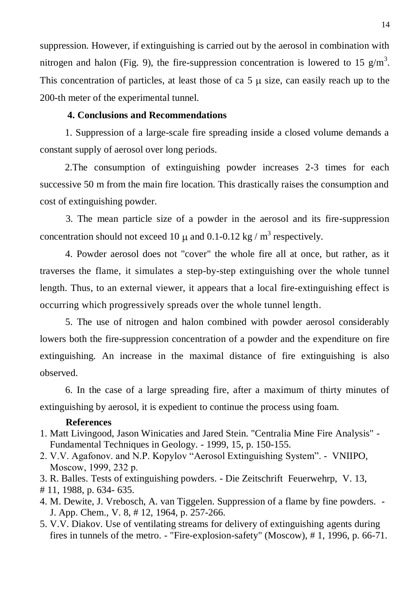suppression. However, if extinguishing is carried out by the aerosol in combination with nitrogen and halon (Fig. 9), the fire-suppression concentration is lowered to 15  $g/m<sup>3</sup>$ . This concentration of particles, at least those of ca  $5 \mu$  size, can easily reach up to the 200-th meter of the experimental tunnel.

# **4. Conclusions and Recommendations**

1. Suppression of a large-scale fire spreading inside a closed volume demands a constant supply of aerosol over long periods.

2.The consumption of extinguishing powder increases 2-3 times for each successive 50 m from the main fire location. This drastically raises the consumption and cost of extinguishing powder.

3. The mean particle size of a powder in the aerosol and its fire-suppression concentration should not exceed 10  $\mu$  and 0.1-0.12 kg / m<sup>3</sup> respectively.

4. Powder aerosol does not "cover" the whole fire all at once, but rather, as it traverses the flame, it simulates a step-by-step extinguishing over the whole tunnel length. Thus, to an external viewer, it appears that a local fire-extinguishing effect is occurring which progressively spreads over the whole tunnel length.

5. The use of nitrogen and halon combined with powder aerosol considerably lowers both the fire-suppression concentration of a powder and the expenditure on fire extinguishing. An increase in the maximal distance of fire extinguishing is also observed.

6. In the case of a large spreading fire, after a maximum of thirty minutes of extinguishing by aerosol, it is expedient to continue the process using foam.

# **References**

- 1. Matt Livingood, Jason Winicaties and Jared Stein. "Centralia Mine Fire Analysis" Fundamental Techniques in Geology. - 1999, 15, p. 150-155.
- 2. V.V. Agafonov. and N.P. Kopylov "Aerosol Extinguishing System". VNIIPO, Mosсow, 1999, 232 p.
- 3. R. Balles. Tests of extinguishing powders. Die Zeitschrift Feuerwehrp, V. 13,
- # 11, 1988, p. 634- 635.
- 4. M. Dewite, J. Vrebosch, A. van Tiggelen. Suppression of a flame by fine powders. J. App. Chem., V. 8, # 12, 1964, p. 257-266.
- 5. V.V. Diakov. Use of ventilating streams for delivery of extinguishing agents during fires in tunnels of the metro. - "Fire-explosion-safety" (Moscow), # 1, 1996, p. 66-71.